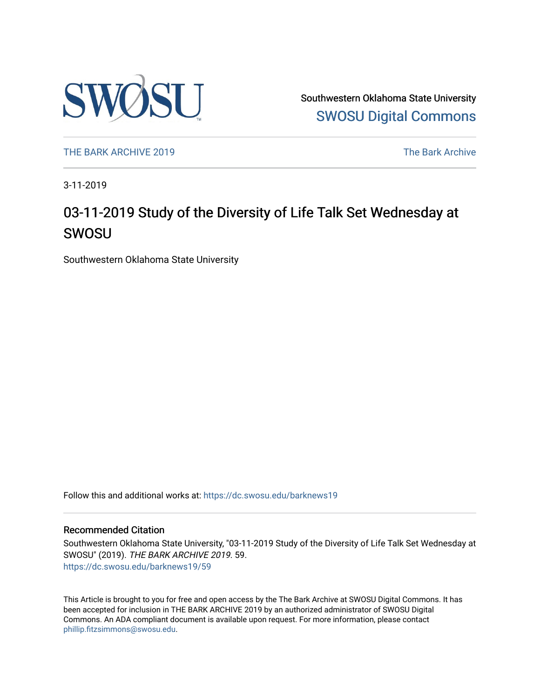

Southwestern Oklahoma State University [SWOSU Digital Commons](https://dc.swosu.edu/) 

[THE BARK ARCHIVE 2019](https://dc.swosu.edu/barknews19) The Bark Archive

3-11-2019

### 03-11-2019 Study of the Diversity of Life Talk Set Wednesday at SWOSU

Southwestern Oklahoma State University

Follow this and additional works at: [https://dc.swosu.edu/barknews19](https://dc.swosu.edu/barknews19?utm_source=dc.swosu.edu%2Fbarknews19%2F59&utm_medium=PDF&utm_campaign=PDFCoverPages)

#### Recommended Citation

Southwestern Oklahoma State University, "03-11-2019 Study of the Diversity of Life Talk Set Wednesday at SWOSU" (2019). THE BARK ARCHIVE 2019. 59. [https://dc.swosu.edu/barknews19/59](https://dc.swosu.edu/barknews19/59?utm_source=dc.swosu.edu%2Fbarknews19%2F59&utm_medium=PDF&utm_campaign=PDFCoverPages) 

This Article is brought to you for free and open access by the The Bark Archive at SWOSU Digital Commons. It has been accepted for inclusion in THE BARK ARCHIVE 2019 by an authorized administrator of SWOSU Digital Commons. An ADA compliant document is available upon request. For more information, please contact [phillip.fitzsimmons@swosu.edu](mailto:phillip.fitzsimmons@swosu.edu).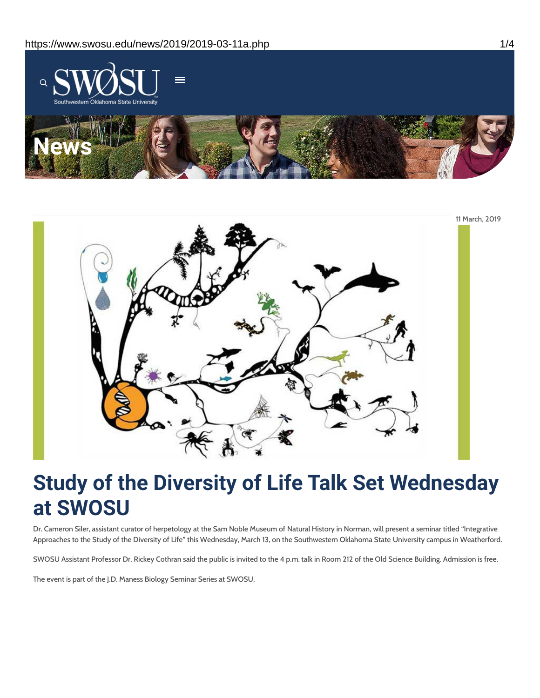



# **Study of the Diversity of Life Talk Set Wednesday at SWOSU**

Dr. Cameron Siler, assistant curator of herpetology at the Sam Noble Museum of Natural History in Norman, will present a seminar titled "Integrative Approaches to the Study of the Diversity of Life" this Wednesday, March 13, on the Southwestern Oklahoma State University campus in Weatherford.

SWOSU Assistant Professor Dr. Rickey Cothran said the public is invited to the 4 p.m. talk in Room 212 of the Old Science Building. Admission is free.

The event is part of the J.D. Maness Biology Seminar Series at SWOSU.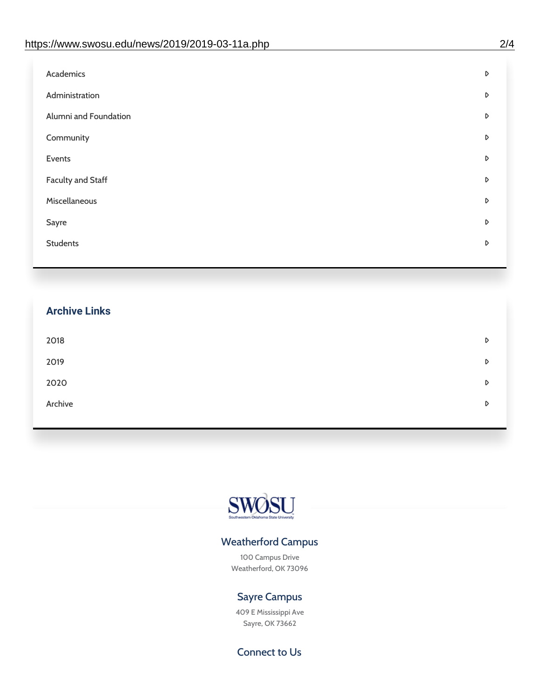| Academics                | D |
|--------------------------|---|
| Administration           | D |
| Alumni and Foundation    | D |
| Community                | D |
| Events                   | D |
| <b>Faculty and Staff</b> | D |
| Miscellaneous            | D |
| Sayre                    | D |
| <b>Students</b>          | D |
|                          |   |

# **Archive Links**  $2018$  $2019$ [2020](https://www.swosu.edu/news/2020/index.php)  $\bullet$ [Archive](https://dc.swosu.edu/bark/) **Archive Archive Archive Archive Archive** Archive Archive Archive Archive Archive Archive Archive Archive



### Weatherford Campus

100 Campus Drive Weatherford, OK 73096

### Sayre Campus

409 E Mississippi Ave Sayre, OK 73662

Connect to Us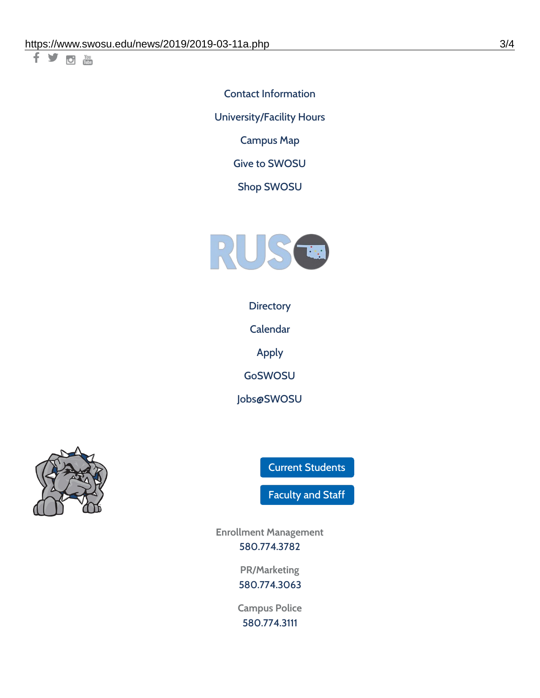千岁回调

Contact [Information](https://www.swosu.edu/about/contact.php) [University/Facility](https://www.swosu.edu/about/operating-hours.php) Hours [Campus](https://map.concept3d.com/?id=768#!ct/10964,10214,10213,10212,10205,10204,10203,10202,10136,10129,10128,0,31226,10130,10201,10641,0) Map

Give to [SWOSU](https://standingfirmly.com/donate)

Shop [SWOSU](https://shopswosu.merchorders.com/)



**[Directory](https://www.swosu.edu/directory/index.php)** 

[Calendar](https://eventpublisher.dudesolutions.com/swosu/)

[Apply](https://www.swosu.edu/admissions/apply-to-swosu.php)

[GoSWOSU](https://qlsso.quicklaunchsso.com/home/1267)

[Jobs@SWOSU](https://swosu.csod.com/ux/ats/careersite/1/home?c=swosu)



Current [Students](https://bulldog.swosu.edu/index.php)

[Faculty](https://bulldog.swosu.edu/faculty-staff/index.php) and Staff

**Enrollment Management** [580.774.3782](tel:5807743782)

> **PR/Marketing** [580.774.3063](tel:5807743063)

**Campus Police** [580.774.3111](tel:5807743111)